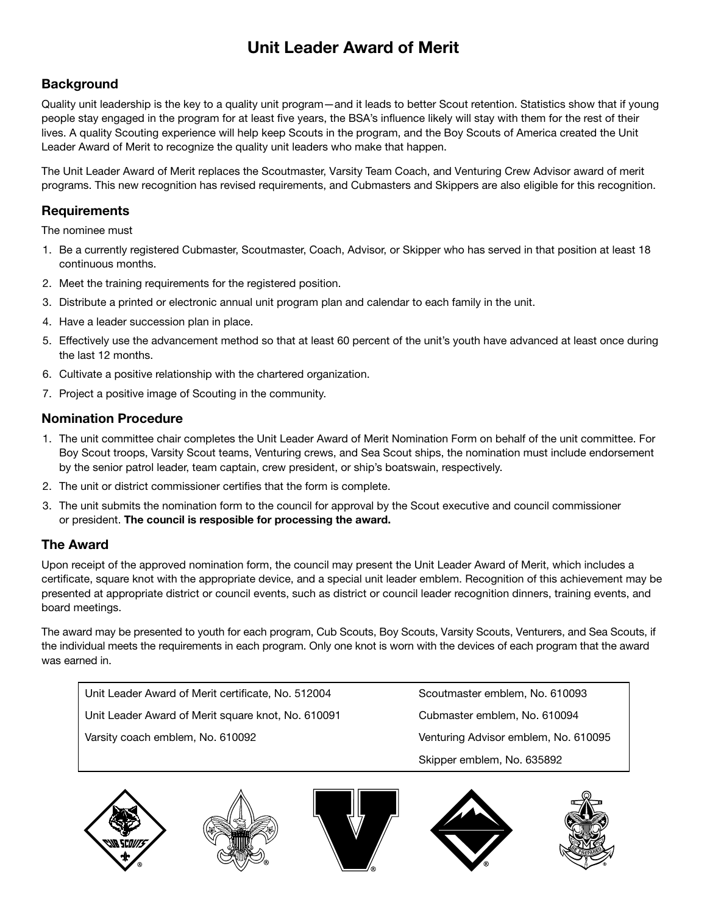# Unit Leader Award of Merit

### **Background**

Quality unit leadership is the key to a quality unit program—and it leads to better Scout retention. Statistics show that if young people stay engaged in the program for at least five years, the BSA's influence likely will stay with them for the rest of their lives. A quality Scouting experience will help keep Scouts in the program, and the Boy Scouts of America created the Unit Leader Award of Merit to recognize the quality unit leaders who make that happen.

The Unit Leader Award of Merit replaces the Scoutmaster, Varsity Team Coach, and Venturing Crew Advisor award of merit programs. This new recognition has revised requirements, and Cubmasters and Skippers are also eligible for this recognition.

#### **Requirements**

The nominee must

- 1. Be a currently registered Cubmaster, Scoutmaster, Coach, Advisor, or Skipper who has served in that position at least 18 continuous months.
- 2. Meet the training requirements for the registered position.
- 3. Distribute a printed or electronic annual unit program plan and calendar to each family in the unit.
- 4. Have a leader succession plan in place.
- 5. Effectively use the advancement method so that at least 60 percent of the unit's youth have advanced at least once during the last 12 months.
- 6. Cultivate a positive relationship with the chartered organization.
- 7. Project a positive image of Scouting in the community.

#### Nomination Procedure

- 1. The unit committee chair completes the Unit Leader Award of Merit Nomination Form on behalf of the unit committee. For Boy Scout troops, Varsity Scout teams, Venturing crews, and Sea Scout ships, the nomination must include endorsement by the senior patrol leader, team captain, crew president, or ship's boatswain, respectively.
- 2. The unit or district commissioner certifies that the form is complete.
- 3. The unit submits the nomination form to the council for approval by the Scout executive and council commissioner or president. The council is resposible for processing the award.

#### The Award

Upon receipt of the approved nomination form, the council may present the Unit Leader Award of Merit, which includes a certificate, square knot with the appropriate device, and a special unit leader emblem. Recognition of this achievement may be presented at appropriate district or council events, such as district or council leader recognition dinners, training events, and board meetings.

The award may be presented to youth for each program, Cub Scouts, Boy Scouts, Varsity Scouts, Venturers, and Sea Scouts, if the individual meets the requirements in each program. Only one knot is worn with the devices of each program that the award was earned in.

Unit Leader Award of Merit certificate, No. 512004 Scoutmaster emblem, No. 610093

Unit Leader Award of Merit square knot, No. 610091 Cubmaster emblem, No. 610094

Varsity coach emblem, No. 610092 Venturing Advisor emblem, No. 610095 Skipper emblem, No. 635892